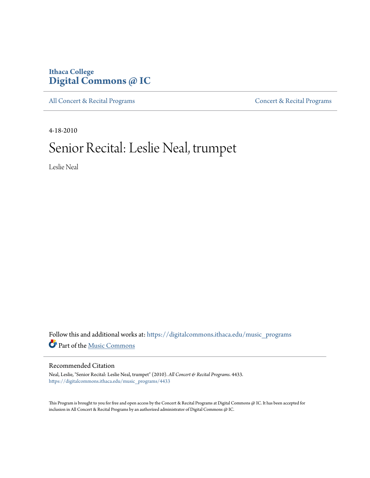### **Ithaca College [Digital Commons @ IC](https://digitalcommons.ithaca.edu?utm_source=digitalcommons.ithaca.edu%2Fmusic_programs%2F4433&utm_medium=PDF&utm_campaign=PDFCoverPages)**

[All Concert & Recital Programs](https://digitalcommons.ithaca.edu/music_programs?utm_source=digitalcommons.ithaca.edu%2Fmusic_programs%2F4433&utm_medium=PDF&utm_campaign=PDFCoverPages) **[Concert & Recital Programs](https://digitalcommons.ithaca.edu/som_programs?utm_source=digitalcommons.ithaca.edu%2Fmusic_programs%2F4433&utm_medium=PDF&utm_campaign=PDFCoverPages)** 

4-18-2010

## Senior Recital: Leslie Neal, trumpet

Leslie Neal

Follow this and additional works at: [https://digitalcommons.ithaca.edu/music\\_programs](https://digitalcommons.ithaca.edu/music_programs?utm_source=digitalcommons.ithaca.edu%2Fmusic_programs%2F4433&utm_medium=PDF&utm_campaign=PDFCoverPages) Part of the [Music Commons](http://network.bepress.com/hgg/discipline/518?utm_source=digitalcommons.ithaca.edu%2Fmusic_programs%2F4433&utm_medium=PDF&utm_campaign=PDFCoverPages)

#### Recommended Citation

Neal, Leslie, "Senior Recital: Leslie Neal, trumpet" (2010). *All Concert & Recital Programs*. 4433. [https://digitalcommons.ithaca.edu/music\\_programs/4433](https://digitalcommons.ithaca.edu/music_programs/4433?utm_source=digitalcommons.ithaca.edu%2Fmusic_programs%2F4433&utm_medium=PDF&utm_campaign=PDFCoverPages)

This Program is brought to you for free and open access by the Concert & Recital Programs at Digital Commons @ IC. It has been accepted for inclusion in All Concert & Recital Programs by an authorized administrator of Digital Commons @ IC.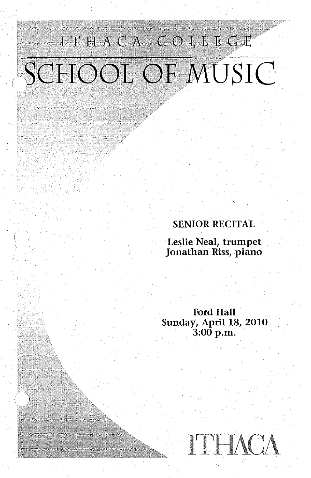# ITHACA COLLEGE SCHOOL OF MUSIC

#### SENIOR RECITAL

Leslie Neal, trumpet Jonathan Riss, piano

Ford Hall Sunday, April 18, 2010 3:00 p.m.

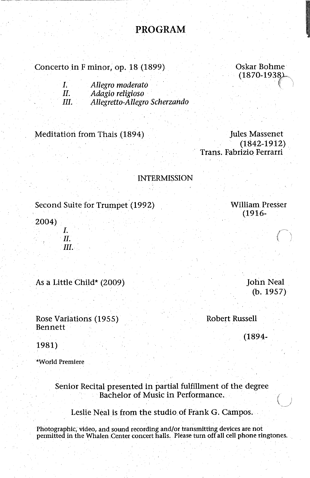#### **PROGRAM**

#### Concerto in F minor, op. 18 (1899)

Oskar. Bohme  $(1870 - 1938)$ 

**In the community of the Community** 

| L. | Allegro moderato              |
|----|-------------------------------|
| Н. | Adagio religioso              |
| Ш. | Allegretto-Allegro Scherzando |

#### Meditation from Thais (1894)

Jules Massenet (1842-1912) Trans. Fabrizio Ferrarri

#### INTERMISSION

#### Second Suite for Trumpet (1992)

2004) *I. II. III.* 

As a Little Child\* (2009)

Rose Variations (1955) Bennett

John Neal (b. 1957)

Robert Russell

(1894-

1981)

\*World Premiere

#### Senior Recital presented in partial fulfillment of the degree Bachelor of Music in Performance.

#### Leslie Neal is from the studio. of Frank G. Campos.

Photographic, video, and sound recording and/or transmitting devices are not permitted in the Whalen Center concert halls. Please turn off all cell phone ringtones.

William Presser (1916-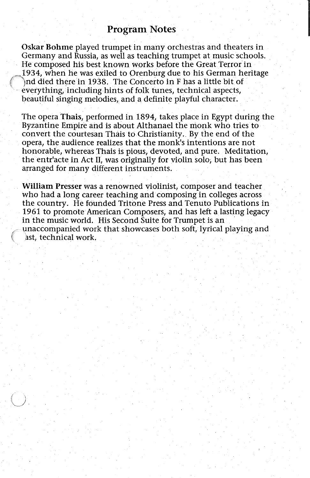#### Program Notes

|<br>|<br>|

Oskar Bohme played trumpet in many orchestras and theaters in Germany and Russia, as well as teaching trumpet at music schools .. He composed his best known works before the Great Terror in 1934, when he was exiled to Orenburg due to his German heritage *(* ')nd died there in 1938. The Concerto in F bas a little bit of everything, including hints of folk tunes, technical aspects, beautiful singing melodies, and a definite playful character.

The opera Thais, performed in 1894, takes place in Egypt during the Byzantine Empire and is about Althanael the monk who tries to convert the courtesan Thais to Christianity. By the end of the opera, the audience realizes that the monk's intentions are not honorable, whereas Thais is pious, devoted, and pure. Meditation, the entr'acte in Act II, was originally for violin solo, but has been arranged for many different instruments.

William Presser was a renowned violinist, composer and teacher who had a long career teaching and composing in colleges across the country. He founded Tritone Press and Tenuto Publications in 1961 to promote American Composers, and has left a lasting legacy in the music world. His Second Suite for Trumpet is an unaccompanied work that showcases both soft, lyrical playing and ast, technical work.